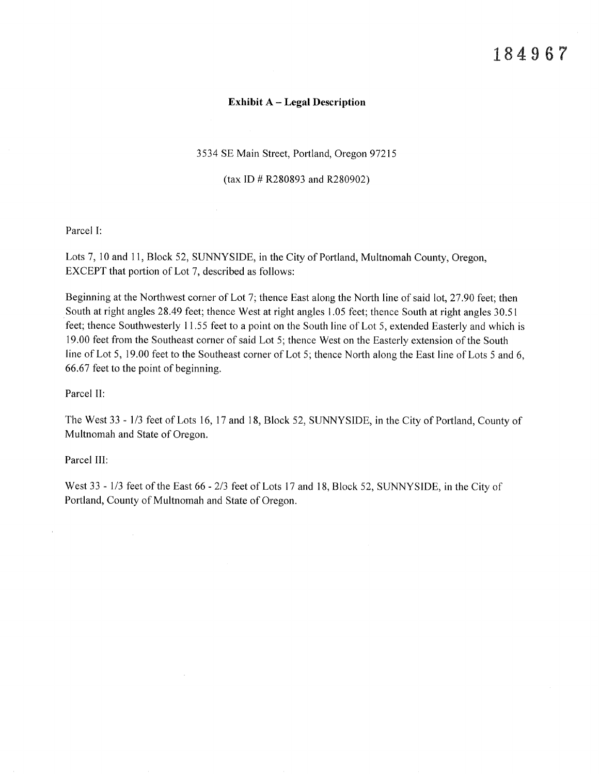### Exhibit A – Legal Description

3534 SE Main Street, Portland, Oregon 97215

(tax ID # R280893 and R280902)

Parcel I:

Lots 7, 10 and 11, Block 52, SUNNYSIDE, in the City of Portland, Multnomah County, Oregon, EXCEPT that portion of Lot 7, described as follows:

Beginning at the Northwest corner of Lot 7; thence East along the North line of said lot, 27 .90 feet; then South at right angles 28.49 feet; thence West at right angles 1.05 feet; thence South at right angles 30.51 feet; thence Southwesterly 11.55 feet to a point on the South line of Lot 5, extended Easterly and which is 19.00 feet from the Southeast corner of said Lot 5; thence West on the Easterly extension of the South line of Lot 5, 19.00 feet to the Southeast corner of Lot 5; thence North along the East line of Lots 5 and 6, 66,67 feet to the point of beginning.

Parcel Il:

The West 33 - l13 feet of Lots 16, l7 and 18, Block 52, SUNNYSIDE, in the City of Portland, County of Multnomah and State of Oregon.

Parcel III:

 $\mathcal{A}$ 

 $\mathcal{L}$ 

 $\epsilon$ 

West 33 - 1/3 feet of the East 66 - 2/3 feet of Lots 17 and 18, Block 52, SUNNYSIDE, in the City of Portland, County of Multnomah and State of Oregon.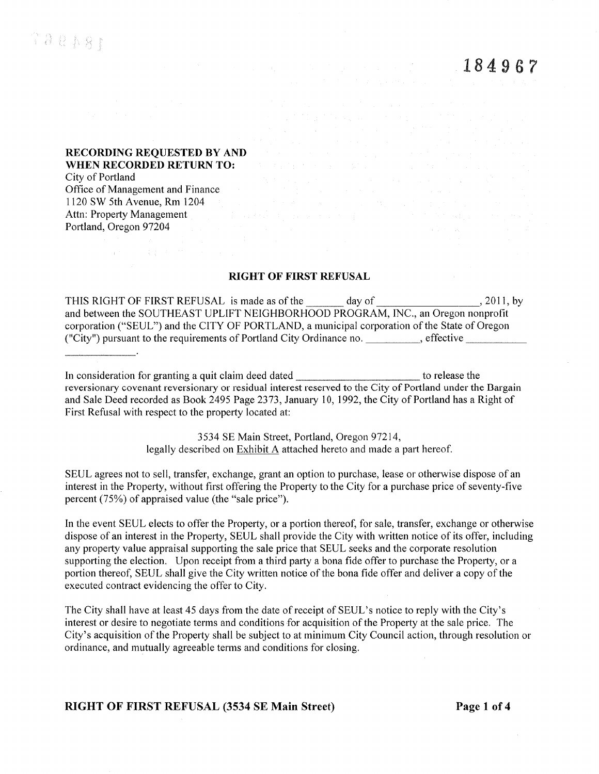## RECORDING REQUESTED BY AND WHEN RECORDED RETURN TO:

 $\label{eq:2.1} \mathcal{L}(\mathbf{z}^{(1)},\mathbf{z}^{(2)}) = \mathcal{L}(\mathbf{z}^{(1)},\mathbf{z}^{(2)}) \cdot \mathcal{L}(\mathbf{z}^{(2)},\mathbf{z}^{(2)})$ 

City of Portland Office of Management and Finance 1120 SW 5th Avenue, Rm 1204 Attn: Property Management Portland, Oregon 97204

### RIGHT OF FIRST REFUSAL

THIS RIGHT OF FIRST REFUSAL is made as of the day of day of 2011, by and between the SOUTHEAST UPLIFT NEIGHBORHOOD PROGRAM, INC., an Oregon nonprofit corporation ("SEUL") and the CITY OF PORTLAND, a municipal corporation of the State of Oregon ("City") pursuant to the requirements of Portland City Ordinance no. \_\_\_\_\_\_\_\_, effective \_\_\_\_\_\_\_\_\_\_\_

In consideration for granting a quit claim deed dated \_\_\_\_\_\_\_\_\_\_\_\_\_\_\_\_\_\_\_\_\_\_\_\_\_ to release the reversionary covenant reversionary or residual interest reserved to the City of Portland under the Bargain and Sale Deed recorded as Book 2495 Page 2373, January 10, 1992, the City of Portland has a Right of First Refusal with respect to the property located at:

> 3534 SE Main Street, Poftland, Oregon 97214, legally described on **Exhibit A** attached hereto and made a part hereof.

SEUL agrees not to sell, transfer, exchange, grant an option to purchase, lease or otherwise dispose of an interest in the Property, without first offering the Property to the City for a purchase price of seventy-five percent (75%) of appraised value (the "sale price").

In the event SEUL elects to offer the Property, or a portion thereof, for sale, transfer, exchange or otherwise dispose of an interest in the Property, SEUL shall provide the City with written notice of its offer, including any property value appraisal supporting the sale price that SEUL seeks and the corporate resolution supporting the election. Upon receipt from a third party a bona fide offer to purchase the Property, or a portion thereof, SEUL shall give the City written notice of the bona fide offer and deliver a copy of the executed contract evidencing the offer to City.

The City shall have at least 45 days from the date of receipt of SEUL's notice to reply with the City's interest or desire to negotiate terms and conditions for acquisition of the Property at the sale price. The City's acquisition of the Property shall be subject to at minimurn City Council action, through resolution or ordinance, and mutually agreeable terms and conditions for closing.

RIGHT OF FIRST REFUSAL (3534 SE Main Street) Page 1 of 4

 $\mathcal{A}$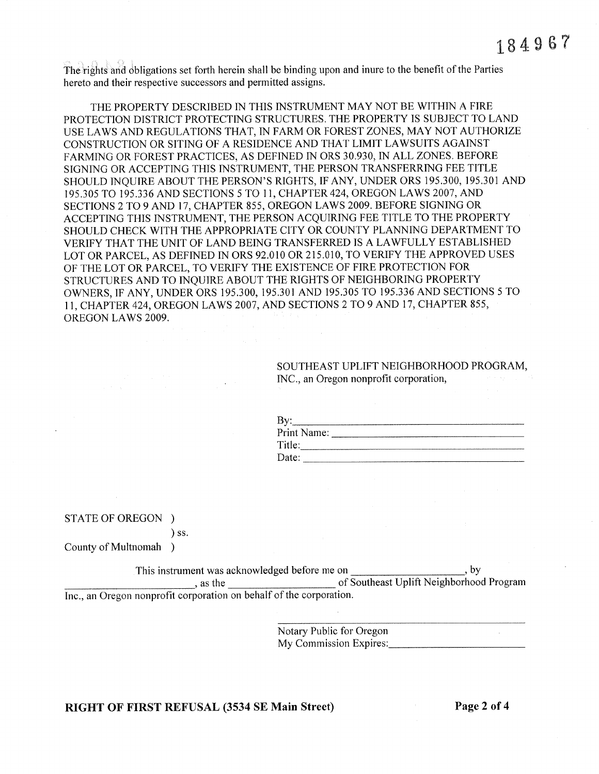The rights and obligations set forth herein shall be binding upon and inure to the benefit of the Parties hereto and their respective successors and permitted assigns.

THE PROPERTY DESCRIBED IN THIS INSTRUMENT MAY NOT BE WITHIN A FIRE PROTECTION DISTRICT PROTECTING STRUCTURES. THE PROPERTY IS SUBJECT TO LAND USE LAWS AND REGULATIONS THAT, IN FARM OR FOREST ZONES, MAY NOT AUTHORIZE CONSTRUCTION OR SITING OF A RESIDENCE AND THAT LIMIT LAWSUITS AGAINST FARMING OR FOREST PRACTICES, AS DEFINED IN ORS 30.930, IN ALL ZONES. BEFORE SIGNING OR ACCEPTING THIS INSTRUMENT, THE PERSON TRANSFERRING FEE TITLE SHOULD INQUIRE ABOUT THE PERSON'S RIGHTS, IF ANY, UNDER ORS 195.300, 195.301 AND 195.305 TO 195.336 AND SECTIONS 5 TO 11, CHAPTER 424, OREGON LAWS 2007, AND SECTIONS 2 TO 9 AND 17, CHAPTER 855, OREGON LAWS 2009. BEFORE SIGNING OR ACCEPTING THIS INSTRUMENT, THE PERSON ACQUIRING FEE TITLE TO THE PROPERTY SHOULD CHECK WITH THE APPROPRIATE CITY OR COUNTY PLANNING DEPARTMENT TO VERIFY THAT THE UNIT OF LAND BEING TRANSFERRED IS A LAWFULLY ESTABLISHED LOT OR PARCEL, AS DEFINED IN ORS 92.010 OR 215.010, TO VERIFY THE APPROVED USES OF THE LOT OR PARCEL, TO VERIFY THE EXISTENCE OF FIRE PROTECTION FOR STRUCTURES AND TO INQUIRE ABOUT THE RIGHTS OF NEIGHBORING PROPERTY OWNERS, IF ANY, UNDER ORS 195.300, 195.301 AND 195.305 TO 195.336 AND SECTIONS 5 TO 11, CHAPTER 424, OREGON LAWS 2007, AND SECTIONS 2 TO 9 AND 17, CHAPTER 855, OREGON LAWS 2009.

> SOUTHEAST UPLIFT NEIGHBORHOOD PROGRAM, INC., an Oregon nonprofit corporation,

| By          |  |
|-------------|--|
| Print Name: |  |
| Title:      |  |
| Date:       |  |

STATE OF OREGON )

 $)$  ss.

County of Multnomah )

This instrument was acknowledged before me on  $\cdot$  by  $\frac{1}{\sqrt{1-\frac{1}{2}}}\cos\theta$ , as the of Southeast Uplift Neighborhood Program Inc., an Oregon nonprofit corporation on behalf of the corporation.

> Notary Public for Oregon My Commission Expires:

# RIGHT OF FIRST REFUSAL (3534 SE Main Street)

Page 2 of 4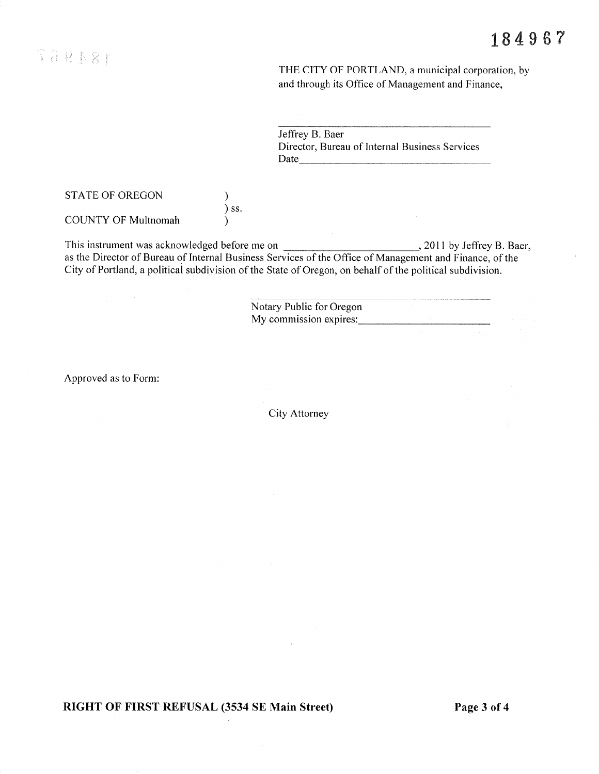THE CITY OF PORTLAND, a municipal corporation, by and through its Office of Management and Finance,

Jeffrey B. Baer Director, Bureau of Internal Business Services Date and the same state of the state of the state of the state of the state of the state of the state of the state of the state of the state of the state of the state of the state of the state of the state of the state of

**STATE OF OREGON** 

**COUNTY OF Multnomah** 

 $, 2011$  by Jeffrey B. Baer, City of Portland, a political subdivision of the State of Oregon, on behalf of the political subdivision.

 $\mathcal{E}$  $)$  ss.

 $\lambda$ 

Notary Public for Oregon My commission expires:

Approved as to Form:

City Attorney

RIGHT OF FIRST REFUSAL (3534 SE Main Street)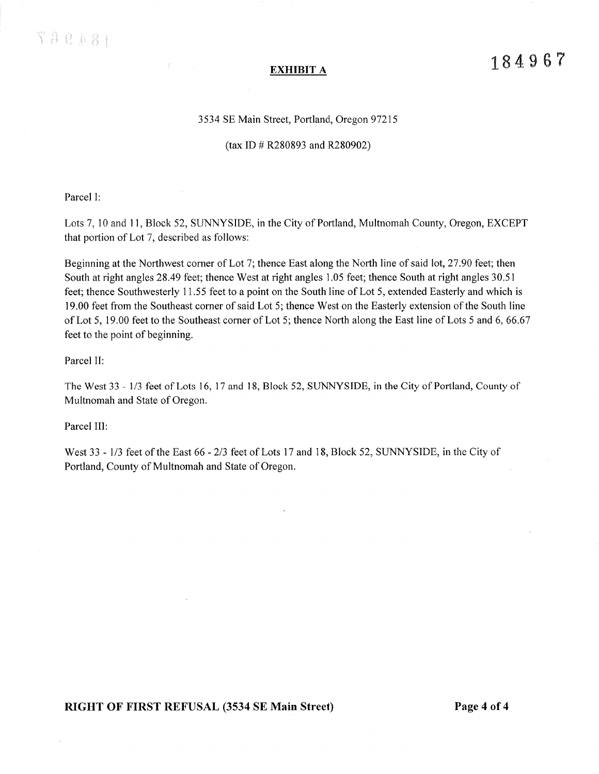$\{ \ldots, \ldots \}$ 

### 3534 SE Main Street, Portland, Oregon 97215

### (tax ID # R280893 and R280902)

Parcel I:

Lots 7, 10 and 11, Block 52, SUNNYSIDE, in the City of Portland, Multnomah County, Oregon, EXCEPT that portion of Lot 7, described as follows:

Beginning at the Northwest corner of Lot 7; thence East along the North line of said lot, 27,90 feet; then South at right angles 28.49 feet; thence West at right angles 1.05 feet; thence South at right angles 30.51 feet; thence Southwesterly 11.55 feet to a point on the South line of Lot 5, extended Easterly and which is 19.00 feet from the Southeast corner of said Lot 5; thence West on the Easterly extension of the South line of Lot 5, 19,00 feet to the Southeast corner of Lot 5; thence North along the East line of Lots 5 and 6,66,67 feet to the point of beginning.

Parcel II:

The West 33 - 1/3 feet of Lots 16, 17 and 18, Block 52, SUNNYSIDE, in the City of Portland, County of Multnomah and State of Oregon.

Parcel III:

West 33 - 1/3 feet of the East 66 - 2/3 feet of Lots 17 and 18, Block 52, SUNNYSIDE, in the City of Portland, County of Multnomah and State of Oregon.

RIGHT OF FIRST REFUSAL (3534 SE Main Street) Page 4 of 4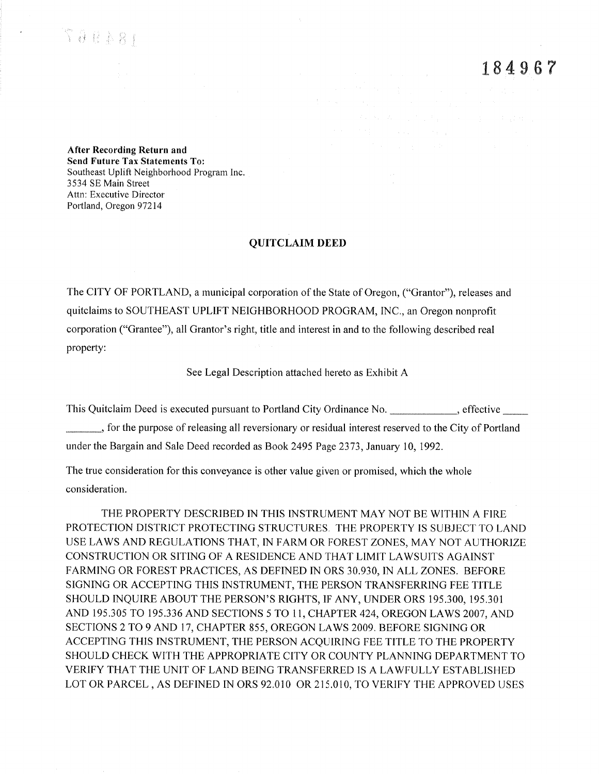$\gamma_{\,\partial\,l\,\,k\,\,k\,\beta\,j}$ 

184967

After Recording Return and **Send Future Tax Statements To:** Southeast Uplift Neighborhood Program Inc. 3534 SE Main Street Attn: Executive Director Portland, Oregon 97214

### **QUITCLAIM DEED**

The CITY OF PORTLAND, a municipal corporation of the State of Oregon, ("Grantor"), releases and quitclaims to SOUTHEAST UPLIFT NEIGHBORHOOD PROGRAM, INC., an Oregon nonprofit corporation ("Grantee"), all Grantor's right, title and interest in and to the following described real property:

See Legal Description attached hereto as Exhibit A

This Quitclaim Deed is executed pursuant to Portland City Ordinance No. 6 effective \_, for the purpose of releasing all reversionary or residual interest reserved to the City of Portland under the Bargain and Sale Deed recorded as Book 2495 Page 2373, January 10, 1992.

The true consideration for this conveyance is other value given or promised, which the whole consideration.

THE PROPERTY DESCRIBED IN THIS INSTRUMENT MAY NOT BE WITHIN A FIRE PROTECTION DISTRICT PROTECTING STRUCTURES. THE PROPERTY IS SUBJECT TO LAND USE LAWS AND REGULATIONS THAT, IN FARM OR FOREST ZONES, MAY NOT AUTHORIZE CONSTRUCTION OR SITING OF A RESIDENCE AND THAT LIMIT LAWSUITS AGAINST FARMING OR FOREST PRACTICES, AS DEFINED IN ORS 30.930, IN ALL ZONES. BEFORE SIGNING OR ACCEPTING THIS INSTRUMENT, THE PERSON TRANSFERRING FEE TITLE SHOULD INQUIRE ABOUT THE PERSON'S RIGHTS, IF ANY, UNDER ORS 195.300, 195.301 AND 195.305 TO 195.336 AND SECTIONS 5 TO 11, CHAPTER 424, OREGON LAWS 2007, AND SECTIONS 2 TO 9 AND 17, CHAPTER 855, OREGON LAWS 2009. BEFORE SIGNING OR ACCEPTING THIS INSTRUMENT, THE PERSON ACOUIRING FEE TITLE TO THE PROPERTY SHOULD CHECK WITH THE APPROPRIATE CITY OR COUNTY PLANNING DEPARTMENT TO VERIFY THAT THE UNIT OF LAND BEING TRANSFERRED IS A LAWFULLY ESTABLISHED LOT OR PARCEL, AS DEFINED IN ORS 92.010 OR 215.010, TO VERIFY THE APPROVED USES